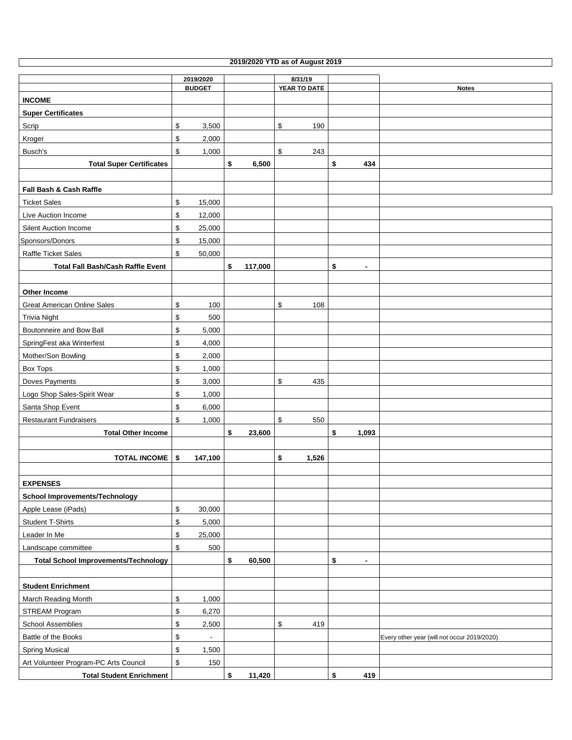|                                             |                                |    |         | 2019/2020 YTD as of August 2019 |                      |                                             |
|---------------------------------------------|--------------------------------|----|---------|---------------------------------|----------------------|---------------------------------------------|
|                                             | 8/31/19<br>2019/2020           |    |         |                                 |                      |                                             |
|                                             | <b>BUDGET</b>                  |    |         | YEAR TO DATE                    |                      | <b>Notes</b>                                |
| <b>INCOME</b>                               |                                |    |         |                                 |                      |                                             |
| <b>Super Certificates</b>                   |                                |    |         |                                 |                      |                                             |
| Scrip                                       | \$<br>3,500                    |    |         | \$<br>190                       |                      |                                             |
| Kroger                                      | \$<br>2,000                    |    |         |                                 |                      |                                             |
| Busch's                                     | \$<br>1,000                    |    |         | \$<br>243                       |                      |                                             |
| <b>Total Super Certificates</b>             |                                | \$ | 6,500   |                                 | \$<br>434            |                                             |
|                                             |                                |    |         |                                 |                      |                                             |
| Fall Bash & Cash Raffle                     |                                |    |         |                                 |                      |                                             |
| <b>Ticket Sales</b>                         | \$<br>15,000                   |    |         |                                 |                      |                                             |
| Live Auction Income                         | \$<br>12,000                   |    |         |                                 |                      |                                             |
| Silent Auction Income                       | \$<br>25,000                   |    |         |                                 |                      |                                             |
| Sponsors/Donors                             | \$<br>15,000                   |    |         |                                 |                      |                                             |
| Raffle Ticket Sales                         | \$<br>50,000                   |    |         |                                 |                      |                                             |
| <b>Total Fall Bash/Cash Raffle Event</b>    |                                | \$ | 117,000 |                                 | \$<br>$\blacksquare$ |                                             |
|                                             |                                |    |         |                                 |                      |                                             |
| <b>Other Income</b>                         |                                |    |         |                                 |                      |                                             |
| <b>Great American Online Sales</b>          | \$<br>100                      |    |         | \$<br>108                       |                      |                                             |
| <b>Trivia Night</b>                         | \$<br>500                      |    |         |                                 |                      |                                             |
| Boutonneire and Bow Ball                    | \$<br>5,000                    |    |         |                                 |                      |                                             |
| SpringFest aka Winterfest                   | \$<br>4,000                    |    |         |                                 |                      |                                             |
| Mother/Son Bowling                          | \$<br>2,000                    |    |         |                                 |                      |                                             |
| Box Tops                                    | \$<br>1,000                    |    |         |                                 |                      |                                             |
| Doves Payments                              | \$<br>3,000                    |    |         | \$<br>435                       |                      |                                             |
| Logo Shop Sales-Spirit Wear                 | \$<br>1,000                    |    |         |                                 |                      |                                             |
| Santa Shop Event                            | \$<br>6,000                    |    |         |                                 |                      |                                             |
| <b>Restaurant Fundraisers</b>               | \$<br>1,000                    |    |         | \$<br>550                       |                      |                                             |
| <b>Total Other Income</b>                   |                                | \$ | 23,600  |                                 | \$<br>1,093          |                                             |
|                                             |                                |    |         |                                 |                      |                                             |
| <b>TOTAL INCOME</b>                         | \$<br>147,100                  |    |         | \$<br>1,526                     |                      |                                             |
|                                             |                                |    |         |                                 |                      |                                             |
| <b>EXPENSES</b>                             |                                |    |         |                                 |                      |                                             |
| <b>School Improvements/Technology</b>       |                                |    |         |                                 |                      |                                             |
| Apple Lease (iPads)                         | \$<br>30,000                   |    |         |                                 |                      |                                             |
| <b>Student T-Shirts</b>                     | \$<br>5,000                    |    |         |                                 |                      |                                             |
| Leader In Me                                | \$<br>25,000                   |    |         |                                 |                      |                                             |
| Landscape committee                         | \$<br>500                      |    |         |                                 |                      |                                             |
| <b>Total School Improvements/Technology</b> |                                | \$ | 60,500  |                                 | \$<br>$\blacksquare$ |                                             |
|                                             |                                |    |         |                                 |                      |                                             |
| <b>Student Enrichment</b>                   |                                |    |         |                                 |                      |                                             |
| March Reading Month                         | \$<br>1,000                    |    |         |                                 |                      |                                             |
| STREAM Program                              | \$<br>6,270                    |    |         |                                 |                      |                                             |
| <b>School Assemblies</b>                    | \$<br>2,500                    |    |         | \$<br>419                       |                      |                                             |
| Battle of the Books                         | \$<br>$\overline{\phantom{a}}$ |    |         |                                 |                      | Every other year (will not occur 2019/2020) |
| <b>Spring Musical</b>                       | \$<br>1,500                    |    |         |                                 |                      |                                             |
| Art Volunteer Program-PC Arts Council       | \$<br>150                      |    |         |                                 |                      |                                             |
| <b>Total Student Enrichment</b>             |                                | \$ | 11,420  |                                 | \$<br>419            |                                             |